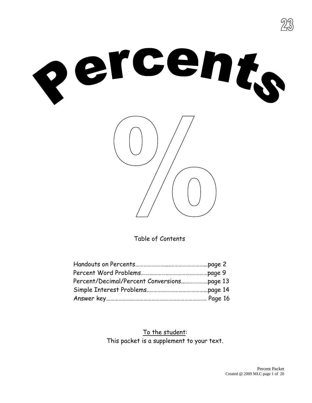





Table of Contents

To the student: This packet is a supplement to your text.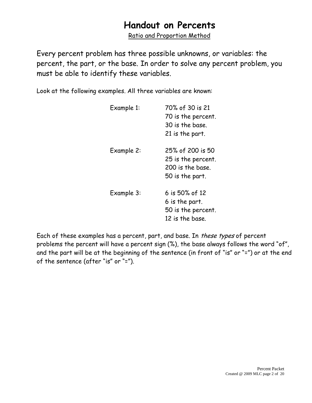# **Handout on Percents**

Ratio and Proportion Method

Every percent problem has three possible unknowns, or variables: the percent, the part, or the base. In order to solve any percent problem, you must be able to identify these variables.

Look at the following examples. All three variables are known:

| Example 1: | 70% of 30 is 21<br>70 is the percent.<br>30 is the base.<br>21 is the part.   |
|------------|-------------------------------------------------------------------------------|
| Example 2: | 25% of 200 is 50<br>25 is the percent.<br>200 is the base.<br>50 is the part. |
| Example 3: | 6 is 50% of 12<br>6 is the part.<br>50 is the percent.<br>12 is the base.     |

Each of these examples has a percent, part, and base. In these types of percent problems the percent will have a percent sign (%), the base always follows the word "of", and the part will be at the beginning of the sentence (in front of "is" or "=") or at the end of the sentence (after "is" or "=").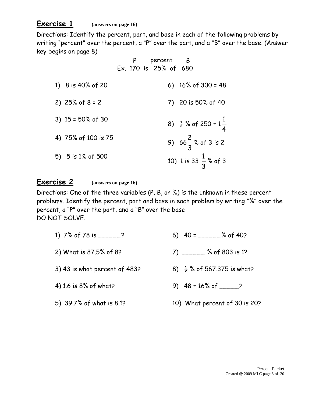# **Exercise 1 (answers on page 16)**

Directions: Identify the percent, part, and base in each of the following problems by writing "percent" over the percent, a "P" over the part, and a "B" over the base. (Answer key begins on page 8)

|                      |  | percent B<br>Ex. 170 is 25% of 680 |                                            |
|----------------------|--|------------------------------------|--------------------------------------------|
| 1) 8 is 40% of 20    |  |                                    | 6) $16\%$ of 300 = 48                      |
| 2) $25\%$ of $8 = 2$ |  |                                    | 7) 20 is 50% of 40                         |
| 3) $15 = 50\%$ of 30 |  |                                    | 8) $\frac{1}{2}$ % of 250 = $1\frac{1}{4}$ |
| 4) 75% of 100 is 75  |  |                                    | 9) $66\frac{2}{3}$ % of 3 is 2             |
| 5) $5$ is 1% of 500  |  |                                    | 10) 1 is 33 $\frac{1}{3}$ % of 3           |

#### **Exercise 2 (answers on page 16)**

Directions: One of the three variables (P, B, or %) is the unknown in these percent problems. Identify the percent, part and base in each problem by writing "%" over the percent, a "P" over the part, and a "B" over the base DO NOT SOLVE.

1) 7% of 78 is \_\_\_\_\_\_\_? 6) 40 = \_\_\_\_\_% of 40? 2) What is 87.5% of 8? 7 7 8 % of 803 is 1? 3) 43 is what percent of 483? 8)  $\frac{1}{2}$  % of 567.375 is what? 4) 1.6 is 8% of what? <br>9) 48 = 16% of 2 5) 39.7% of what is 8.1? 10) What percent of 30 is 20?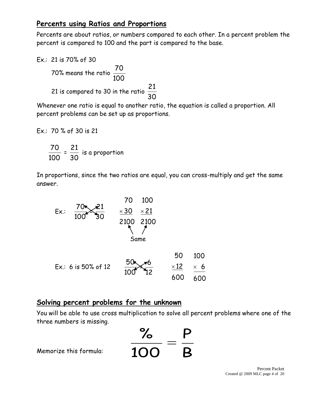# **Percents using Ratios and Proportions**

Percents are about ratios, or numbers compared to each other. In a percent problem the percent is compared to 100 and the part is compared to the base.

Ex.: 21 is 70% of 30

 70% means the ratio 100 70 21 is compared to 30 in the ratio 30 21

Whenever one ratio is equal to another ratio, the equation is called a proportion. All percent problems can be set up as proportions.

$$
Ex.: 70\% of 30 is 21
$$

100 70 = 30 21 is a proportion

In proportions, since the two ratios are equal, you can cross-multiply and get the same answer.



### **Solving percent problems for the unknown**

You will be able to use cross multiplication to solve all percent problems where one of the three numbers is missing.



Memorize this formula: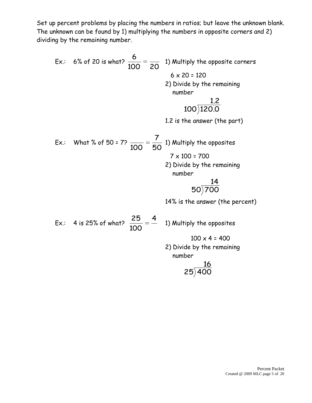Set up percent problems by placing the numbers in ratios; but leave the unknown blank. The unknown can be found by 1) multiplying the numbers in opposite corners and 2) dividing by the remaining number.

Ex.: 6% of 20 is what? 
$$
\frac{6}{100} = \frac{1}{20}
$$
 1) Multiply the opposite corners  
\n6 x 20 = 120  
\n2) Divide by the remaining  
\nnumber  
\n1.2  
\n100)120.0  
\n1.2 is the answer (the part)  
\nEx.: What % of 50 = 7?  $\frac{7}{100} = \frac{7}{50}$  1) Multiply the opposites  
\n7 x 100 = 700  
\n2) Divide by the remaining  
\nnumber  
\n50)700  
\n14% is the answer (the percent)

Ex.: 4 is 25% of what? 4 100 25 1) Multiply the opposites  $100 \times 4 = 400$ 2) Divide by the remaining number

$$
\frac{16}{25\overline{)}400}
$$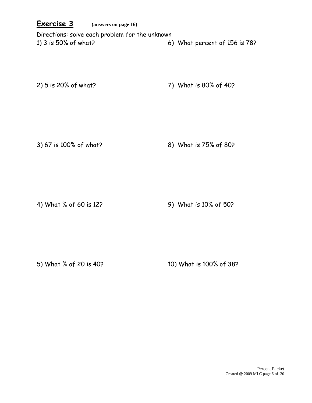#### **Exercise 3 (answers on page 16)**

Directions: solve each problem for the unknown 1) 3 is 50% of what? 6) What percent of 156 is 78?

2) 5 is 20% of what? 7) What is 80% of 40?

3) 67 is 100% of what? 8) What is 75% of 80?

4) What % of 60 is 12? 9) What is 10% of 50?

5) What % of 20 is 40? 10) What is 100% of 38?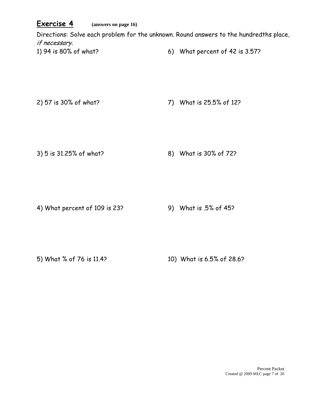### **Exercise 4 (answers on page 16)**

Directions: Solve each problem for the unknown. Round answers to the hundredths place, if necessary. 1) 94 is 80% of what? 6) What percent of 42 is 3.57?

2) 57 is 30% of what? 7) What is 25.5% of 12?

3) 5 is 31.25% of what? 8) What is 30% of 72?

4) What percent of 109 is 23?

9) What is .5% of 45?

5) What % of 76 is 11.4? 10) What is 6.5% of 28.6?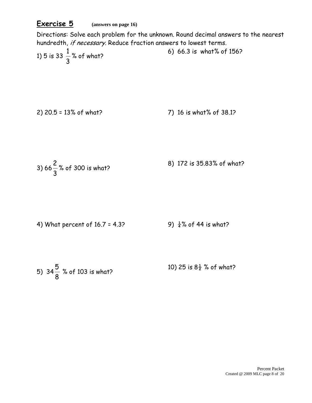## **Exercise 5 (answers on page 16)**

Directions: Solve each problem for the unknown. Round decimal answers to the nearest hundredth, if necessary. Reduce fraction answers to lowest terms.

1) 5 is 33 
$$
\frac{1}{3}
$$
% of what?

2) 20.5 = 13% of what? 7) 16 is what% of 38.1?

3) 66 
$$
\frac{2}{3}
$$
% of 300 is what? \n8) 172 is 35.83% of what?

4) What percent of 16.7 = 4.3?   
9) 
$$
\frac{1}{4}
$$
% of 44 is what?

5) 
$$
34\frac{5}{8}
$$
 % of 103 is what?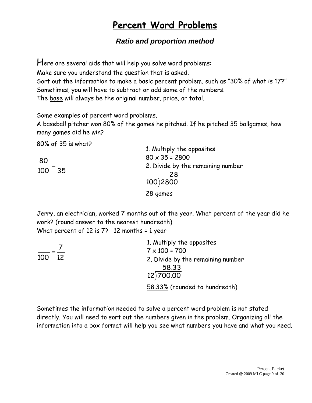# **Percent Word Problems**

# *Ratio and proportion method*

Here are several aids that will help you solve word problems:

Make sure you understand the question that is asked.

Sort out the information to make a basic percent problem, such as "30% of what is 17?" Sometimes, you will have to subtract or add some of the numbers. The base will always be the original number, price, or total.

Some examples of percent word problems.

A baseball pitcher won 80% of the games he pitched. If he pitched 35 ballgames, how many games did he win?

80% of 35 is what?

| 0070 U JU IS WHUT? | 1. Multiply the opposites               |
|--------------------|-----------------------------------------|
| 80                 | $80 \times 35 = 2800$                   |
| 100<br>35          | 2. Divide by the remaining number<br>28 |
|                    | 100)2800                                |
|                    | 28 games                                |

Jerry, an electrician, worked 7 months out of the year. What percent of the year did he work? (round answer to the nearest hundredth)

What percent of 12 is 7? 12 months = 1 year

|           | 1. Multiply the opposites                  |
|-----------|--------------------------------------------|
|           | $7 \times 100 = 700$                       |
| 100<br>12 | 2. Divide by the remaining number<br>58.33 |
|           | 12)700.00                                  |
|           | 58.33% (rounded to hundredth)              |

Sometimes the information needed to solve a percent word problem is not stated directly. You will need to sort out the numbers given in the problem. Organizing all the information into a box format will help you see what numbers you have and what you need.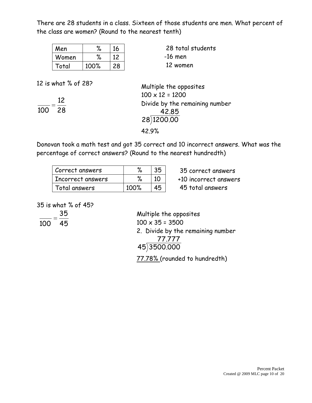There are 28 students in a class. Sixteen of those students are men. What percent of the class are women? (Round to the nearest tenth)

| Men   | ‰    | 16 |
|-------|------|----|
| Women | %    | 12 |
| Total | 100% | 28 |

28 total students -16 men 12 women

12 is what % of 28?

28 12 100

Multiple the opposites  $100 \times 12 = 1200$ Divide by the remaining number 42.85 28 1200.00 42.9%

Donovan took a math test and got 35 correct and 10 incorrect answers. What was the percentage of correct answers? (Round to the nearest hundredth)

| Correct answers   |      |  |
|-------------------|------|--|
| Incorrect answers |      |  |
| Total answers     | 100% |  |

35 correct answers +10 incorrect answers

45 total answers

35 is what % of 45?

45 35  $\overline{100}$ 

Multiple the opposites  $100 \times 35 = 3500$ 2. Divide by the remaining number 77.777 45 3500.000

77.78% (rounded to hundredth)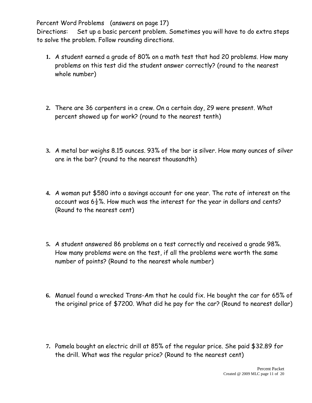Percent Word Problems (answers on page 17)

Directions: Set up a basic percent problem. Sometimes you will have to do extra steps to solve the problem. Follow rounding directions.

- **1.** A student earned a grade of 80% on a math test that had 20 problems. How many problems on this test did the student answer correctly? (round to the nearest whole number)
- **2.** There are 36 carpenters in a crew. On a certain day, 29 were present. What percent showed up for work? (round to the nearest tenth)
- **3.** A metal bar weighs 8.15 ounces. 93% of the bar is silver. How many ounces of silver are in the bar? (round to the nearest thousandth)
- **4.** A woman put \$580 into a savings account for one year. The rate of interest on the account was  $6\frac{1}{2}\%$ . How much was the interest for the year in dollars and cents? (Round to the nearest cent)
- **5.** A student answered 86 problems on a test correctly and received a grade 98%. How many problems were on the test, if all the problems were worth the same number of points? (Round to the nearest whole number)
- **6.** Manuel found a wrecked Trans-Am that he could fix. He bought the car for 65% of the original price of \$7200. What did he pay for the car? (Round to nearest dollar)
- **7.** Pamela bought an electric drill at 85% of the regular price. She paid \$32.89 for the drill. What was the regular price? (Round to the nearest cent)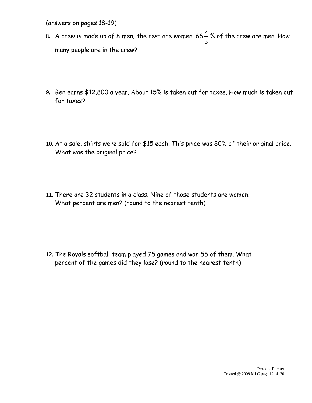(answers on pages 18-19)

- **8.** A crew is made up of 8 men; the rest are women. 66 3 2 % of the crew are men. How many people are in the crew?
- **9.** Ben earns \$12,800 a year. About 15% is taken out for taxes. How much is taken out for taxes?
- **10.** At a sale, shirts were sold for \$15 each. This price was 80% of their original price. What was the original price?
- **11.** There are 32 students in a class. Nine of those students are women. What percent are men? (round to the nearest tenth)

**12.** The Royals softball team played 75 games and won 55 of them. What percent of the games did they lose? (round to the nearest tenth)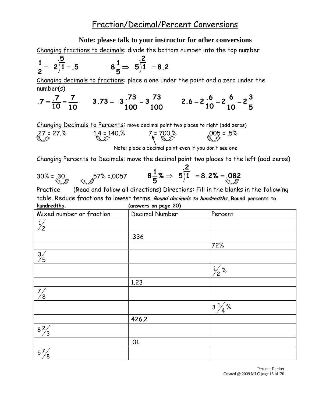#### **Note: please talk to your instructor for other conversions**

Changing fractions to decimals: divide the bottom number into the top number

$$
\frac{1}{2} = 2\overline{\smash)1^5} = .5 \qquad \qquad 8\frac{1}{5} \Rightarrow 5\overline{\smash)1^5} = 8.2
$$

Changing decimals to fractions: place a one under the point and a zero under the number(s)

$$
.7 = \frac{.7}{10} = \frac{7}{10}
$$
 3.73 = 3 $\frac{.73}{100} = 3\frac{.73}{100}$  2.6 = 2 $\frac{.6}{10} = 2\frac{.6}{10} = 2\frac{3}{5}$ 

Changing Decimals to Percents: move decimal point two places to right (add zeros)

$$
27 = 27%
$$
  $1.4 = 140%$   $7 = 700%$   $005 = 0.5%$ 

Note: place a decimal point even if you don't see one

Changing Percents to Decimals: move the decimal point two places to the left (add zeros)

30% = .30  
30% = .57% = .0057  
8
$$
\frac{1}{5}
$$
%  $\Rightarrow$  5 $\overline{)1}$  = 8.2% = .082

Practice (Read and follow all directions) Directions: Fill in the blanks in the following table. Reduce fractions to lowest terms. **Round decimals to hundredths. Round percents to hundredths. (answers on page 20)**

| Mixed number or fraction | Decimal Number | Percent          |
|--------------------------|----------------|------------------|
|                          |                |                  |
|                          | .336           |                  |
|                          |                | 72%              |
| $\frac{3}{5}$            |                |                  |
|                          |                | $\frac{1}{2}$ %  |
|                          | 1.23           |                  |
| 7/<br>′8                 |                |                  |
|                          |                | $3\frac{1}{4}$ % |
|                          | 426.2          |                  |
| $\frac{8\frac{2}{3}}{3}$ |                |                  |
|                          | .01            |                  |
| 57<br>8                  |                |                  |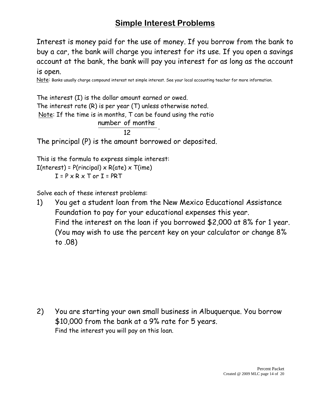# **Simple Interest Problems**

Interest is money paid for the use of money. If you borrow from the bank to buy a car, the bank will charge you interest for its use. If you open a savings account at the bank, the bank will pay you interest for as long as the account is open.

Note: Banks usually charge compound interest not simple interest. See your local accounting teacher for more information.

The interest (I) is the dollar amount earned or owed. The interest rate (R) is per year (T) unless otherwise noted. Note: If the time is in months, T can be found using the ratio 12 number of months . The principal (P) is the amount borrowed or deposited. This is the formula to express simple interest:

 $I(nterest) = P(rincipal) \times R(ate) \times T(ime)$  $I = P \times R \times T$  or  $I = PRT$ 

Solve each of these interest problems:

1) You get a student loan from the New Mexico Educational Assistance Foundation to pay for your educational expenses this year. Find the interest on the loan if you borrowed \$2,000 at 8% for 1 year. (You may wish to use the percent key on your calculator or change 8% to .08)

2) You are starting your own small business in Albuquerque. You borrow \$10,000 from the bank at a 9% rate for 5 years. Find the interest you will pay on this loan.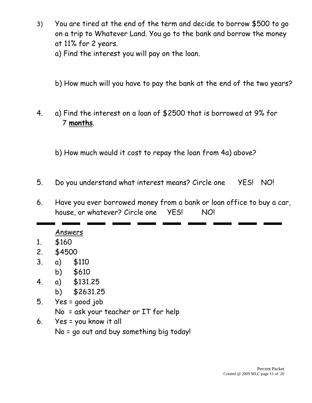- 3) You are tired at the end of the term and decide to borrow \$500 to go on a trip to Whatever Land. You go to the bank and borrow the money at 11% for 2 years.
	- a) Find the interest you will pay on the loan.
	- b) How much will you have to pay the bank at the end of the two years?
- 4. a) Find the interest on a loan of \$2500 that is borrowed at 9% for 7 **months**.
	- b) How much would it cost to repay the loan from 4a) above?
- 5. Do you understand what interest means? Circle one YES! NO!
- 6. Have you ever borrowed money from a bank or loan office to buy a car, house, or whatever? Circle one YES! NO!

Answers

- 1. \$160
- 2. \$4500
- 3. a) \$110
	- b) \$610
- 4. a) \$131.25
	- b) \$2631.25
- 5. Yes = good job
	- No = ask your teacher or IT for help
- 6. Yes = you know it all No = go out and buy something big today!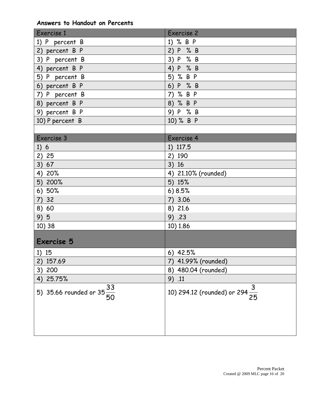#### **Answers to Handout on Percents**

| Exercise 1                            | Exercise 2                                 |
|---------------------------------------|--------------------------------------------|
| 1) P percent B                        | 1) % B P                                   |
| 2) percent B P                        | 2) P % B                                   |
| 3) P percent B                        | 3) P % B                                   |
| 4) percent B P                        | 4) P % B                                   |
| 5) P percent B                        | 5) % B P                                   |
| 6) percent B P                        | P % B<br>6)                                |
| 7) P percent B                        | 7) % B P                                   |
| 8) percent B P                        | 8) % B P                                   |
| 9) percent B P                        | 9) P % B                                   |
| 10) P percent B                       | 10) % B P                                  |
|                                       |                                            |
| Exercise 3                            | Exercise 4                                 |
| 1)6                                   | 1) 117.5                                   |
| 2) 25                                 | 2) 190                                     |
| 3) 67                                 | 3) 16                                      |
| 4) 20%                                | 4) 21.10% (rounded)                        |
| 5) 200%                               | 5) 15%                                     |
| 6) 50%                                | 6)8.5%                                     |
| 7)32                                  | 7) 3.06                                    |
| 8) 60                                 | 8) 21.6                                    |
| 9)5                                   | 9) .23                                     |
| 10) 38                                | 10) 1.86                                   |
| <b>Exercise 5</b>                     |                                            |
| 1) 15                                 | $6)$ 42.5%                                 |
| 157.69<br>(2)                         | 41.99% (rounded)<br>7)                     |
| 200<br>3)                             | 8) 480.04 (rounded)                        |
| 25.75%<br>4)                          | 9) .11                                     |
| 5) 35.66 rounded or $35\frac{33}{50}$ | 10) 294.12 (rounded) or 294 $\frac{3}{25}$ |
|                                       |                                            |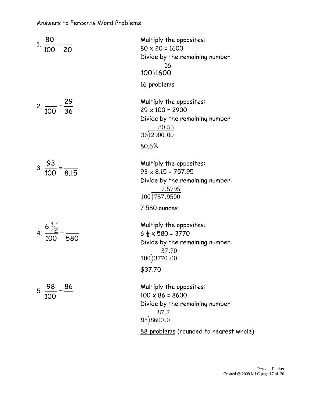| 1. $\frac{80}{100} = \frac{1}{20}$                        | Multiply the opposites:<br>$80 \times 20 = 1600$<br>Divide by the remaining number:<br>$\frac{16}{100}$<br>16 problems                   |
|-----------------------------------------------------------|------------------------------------------------------------------------------------------------------------------------------------------|
| 2. $\frac{29}{100} = \frac{29}{36}$                       | Multiply the opposites:<br>$29 \times 100 = 2900$<br>Divide by the remaining number:<br>$\frac{80.55}{36}$<br>36) 2900.00<br>80.6%       |
| $3. \ \frac{93}{100} = \frac{1}{8.15}$                    | Multiply the opposites:<br>$93 \times 8.15 = 757.95$<br>Divide by the remaining number:<br>$\frac{7.5795}{100}$<br>7.580 ounces          |
| 4. $\frac{6\frac{1}{2}}{100} = \frac{1}{580}$             | Multiply the opposites:<br>$6\frac{1}{2} \times 580 = 3770$<br>Divide by the remaining number:<br>$\frac{37.70}{100}$ 3770.00<br>\$37.70 |
| $\frac{98}{2}$ = $\frac{86}{1}$<br>5.<br>$\overline{100}$ | Multiply the opposites:<br>$100 \times 86 = 8600$<br>Divide by the remaining number:<br>87.7<br>$98\sqrt{8600.0}$                        |

88 problems (rounded to nearest whole)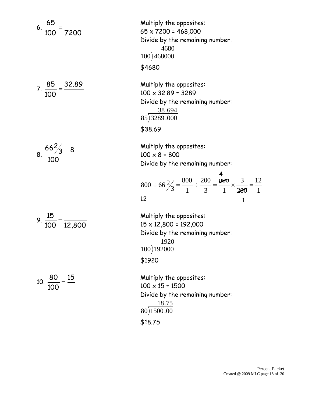6. 
$$
\frac{65}{100} = \frac{15}{7200}
$$
  
7.  $\frac{85}{100} = \frac{32.89}{100}$   
8.  $\frac{66\frac{2}{3}}{100} = \frac{8}{12,800}$   
10.  $\frac{80}{100} = \frac{15}{12,800}$ 

Multiply the opposites: 65 x 7200 = 468,000 Divide by the remaining number: 4680  $100)468000$ \$4680 Multiply the opposites:  $100 \times 32.89 = 3289$ Divide by the remaining number: 38.694 85 3289 .000 \$38.69 Multiply the opposites:  $100 \times 8 = 800$ Divide by the remaining number: 12 200 3 1 800 3 200 1 800  $800 \div 66 \frac{2}{3}$ 12 Multiply the opposites: 15 x 12,800 = 192,000 Divide by the remaining number: 1920 100 192000 \$1920 Multiply the opposites:  $100 \times 15 = 1500$ Divide by the remaining number: 18.75  $80)1500.00$ \$18.75 4 1

1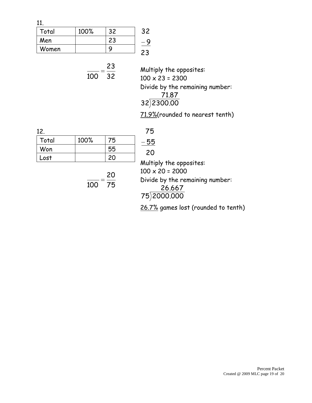11.

| Total | 100% | 32 |  |
|-------|------|----|--|
| Men   |      | 23 |  |
| Women |      |    |  |
|       |      |    |  |

23  

$$
\frac{1}{100} = \frac{23}{32}
$$
 *Mu*  
100

Multiply the opposites:  $100 \times 23 = 2300$ Divide by the remaining number: 71.87 32 2300.00

71.9%(rounded to nearest tenth)

| 12.   |      |    |
|-------|------|----|
| Total | 100% | 75 |
| Won   |      | 55 |
| Lost  |      | 20 |

75 20  $\frac{100}{20}$  20<br>
Multi

| 75     |
|--------|
| 5<br>Ⴌ |
| ╱      |

Multiply the opposites:  $100 \times 20 = 2000$ Divide by the remaining number:

|             | 26.667 |  |
|-------------|--------|--|
| 75)2000.000 |        |  |

26.7% games lost (rounded to tenth)